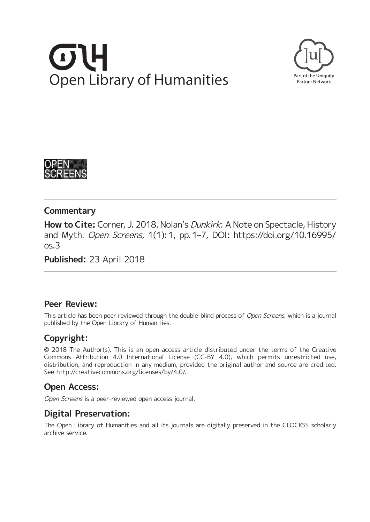# **Open Library of Humanities**





### **Commentary**

**How to Cite:** Corner, J. 2018. Nolan's Dunkirk: A Note on Spectacle, History and Myth. Open Screens, 1(1): 1, pp. 1–7, DOI: [https://doi.org/10.16995/](https://doi.org/10.16995/os.3) [os.3](https://doi.org/10.16995/os.3)

**Published:** 23 April 2018

### **Peer Review:**

This article has been peer reviewed through the double-blind process of Open Screens, which is a journal published by the Open Library of Humanities.

# **Copyright:**

© 2018 The Author(s). This is an open-access article distributed under the terms of the Creative Commons Attribution 4.0 International License (CC-BY 4.0), which permits unrestricted use, distribution, and reproduction in any medium, provided the original author and source are credited. See [http://creativecommons.org/licenses/by/4.0/.](http://creativecommons.org/licenses/by/4.0/)

# **Open Access:**

Open Screens is a peer-reviewed open access journal.

# **Digital Preservation:**

The Open Library of Humanities and all its journals are digitally preserved in the CLOCKSS scholarly archive service.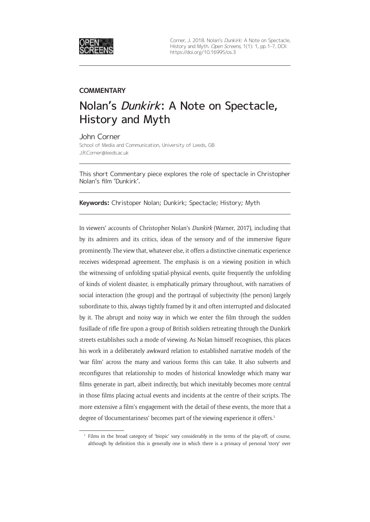

Corner, J. 2018. Nolan's Dunkirk: A Note on Spectacle, History and Myth. Open Screens, 1(1): 1, pp. 1-7, DOI: <https://doi.org/10.16995/os.3>

### **COMMENTARY**

# Nolan's Dunkirk: A Note on Spectacle, History and Myth

John Corner School of Media and Communication, University of Leeds, GB [J.R.Corner@leeds.ac.uk](mailto:J.R.Corner@leeds.ac.uk)

This short Commentary piece explores the role of spectacle in Christopher Nolan's film 'Dunkirk'.

**Keywords:** Christoper Nolan; Dunkirk; Spectacle; History; Myth

In viewers' accounts of Christopher Nolan's *Dunkirk* (Warner, 2017), including that by its admirers and its critics, ideas of the sensory and of the immersive figure prominently. The view that, whatever else, it offers a distinctive cinematic experience receives widespread agreement. The emphasis is on a viewing position in which the witnessing of unfolding spatial-physical events, quite frequently the unfolding of kinds of violent disaster, is emphatically primary throughout, with narratives of social interaction (the group) and the portrayal of subjectivity (the person) largely subordinate to this, always tightly framed by it and often interrupted and dislocated by it. The abrupt and noisy way in which we enter the film through the sudden fusillade of rifle fire upon a group of British soldiers retreating through the Dunkirk streets establishes such a mode of viewing. As Nolan himself recognises, this places his work in a deliberately awkward relation to established narrative models of the 'war film' across the many and various forms this can take. It also subverts and reconfigures that relationship to modes of historical knowledge which many war films generate in part, albeit indirectly, but which inevitably becomes more central in those films placing actual events and incidents at the centre of their scripts. The more extensive a film's engagement with the detail of these events, the more that a degree of 'documentariness' becomes part of the viewing experience it offers.<sup>1</sup>

<sup>1</sup> Films in the broad category of 'biopic' vary considerably in the terms of the play-off, of course, although by definition this is generally one in which there is a primacy of personal 'story' over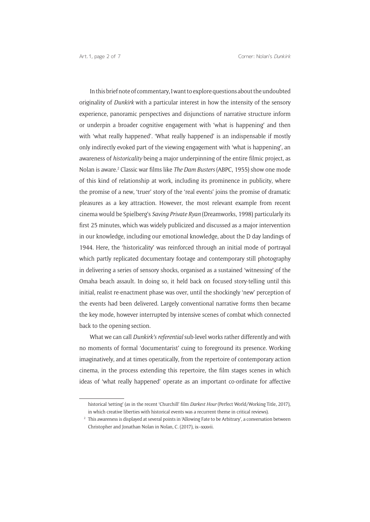In this brief note of commentary, I want to explore questions about the undoubted originality of *Dunkirk* with a particular interest in how the intensity of the sensory experience, panoramic perspectives and disjunctions of narrative structure inform or underpin a broader cognitive engagement with 'what is happening' and then with 'what really happened'. 'What really happened' is an indispensable if mostly only indirectly evoked part of the viewing engagement with 'what is happening', an awareness of *historicality* being a major underpinning of the entire filmic project, as Nolan is aware.2 Classic war films like *The Dam Busters* (ABPC, 1955) show one mode of this kind of relationship at work, including its prominence in publicity, where the promise of a new, 'truer' story of the 'real events' joins the promise of dramatic pleasures as a key attraction. However, the most relevant example from recent cinema would be Spielberg's *Saving Private Ryan* (Dreamworks, 1998) particularly its first 25 minutes, which was widely publicized and discussed as a major intervention in our knowledge, including our emotional knowledge, about the D day landings of 1944. Here, the 'historicality' was reinforced through an initial mode of portrayal which partly replicated documentary footage and contemporary still photography in delivering a series of sensory shocks, organised as a sustained 'witnessing' of the Omaha beach assault. In doing so, it held back on focused story-telling until this initial, realist re-enactment phase was over, until the shockingly 'new' perception of the events had been delivered. Largely conventional narrative forms then became the key mode, however interrupted by intensive scenes of combat which connected back to the opening section.

What we can call *Dunkirk's referential* sub-level works rather differently and with no moments of formal 'documentarist' cuing to foreground its presence. Working imaginatively, and at times operatically, from the repertoire of contemporary action cinema, in the process extending this repertoire, the film stages scenes in which ideas of 'what really happened' operate as an important co-ordinate for affective

historical 'setting' (as in the recent 'Churchill' film *Darkest Hour* (Perfect World/Working Title, 2017), in which creative liberties with historical events was a recurrent theme in critical reviews).

<sup>&</sup>lt;sup>2</sup> This awareness is displayed at several points in 'Allowing Fate to be Arbitrary', a conversation between Christopher and Jonathan Nolan in Nolan, C. (2017), ix–xxxvii.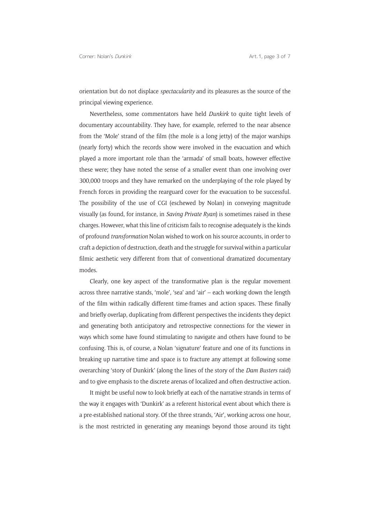orientation but do not displace *spectacularity* and its pleasures as the source of the principal viewing experience.

Nevertheless, some commentators have held *Dunkirk* to quite tight levels of documentary accountability. They have, for example, referred to the near absence from the 'Mole' strand of the film (the mole is a long jetty) of the major warships (nearly forty) which the records show were involved in the evacuation and which played a more important role than the 'armada' of small boats, however effective these were; they have noted the sense of a smaller event than one involving over 300,000 troops and they have remarked on the underplaying of the role played by French forces in providing the rearguard cover for the evacuation to be successful. The possibility of the use of CGI (eschewed by Nolan) in conveying magnitude visually (as found, for instance, in *Saving Private Ryan*) is sometimes raised in these charges. However, what this line of criticism fails to recognise adequately is the kinds of profound *transformation* Nolan wished to work on his source accounts, in order to craft a depiction of destruction, death and the struggle for survival within a particular filmic aesthetic very different from that of conventional dramatized documentary modes.

Clearly, one key aspect of the transformative plan is the regular movement across three narrative stands, 'mole', 'sea' and 'air' – each working down the length of the film within radically different time-frames and action spaces. These finally and briefly overlap, duplicating from different perspectives the incidents they depict and generating both anticipatory and retrospective connections for the viewer in ways which some have found stimulating to navigate and others have found to be confusing. This is, of course, a Nolan 'signature' feature and one of its functions in breaking up narrative time and space is to fracture any attempt at following some overarching 'story of Dunkirk' (along the lines of the story of the *Dam Busters* raid) and to give emphasis to the discrete arenas of localized and often destructive action.

It might be useful now to look briefly at each of the narrative strands in terms of the way it engages with 'Dunkirk' as a referent historical event about which there is a pre-established national story. Of the three strands, 'Air', working across one hour, is the most restricted in generating any meanings beyond those around its tight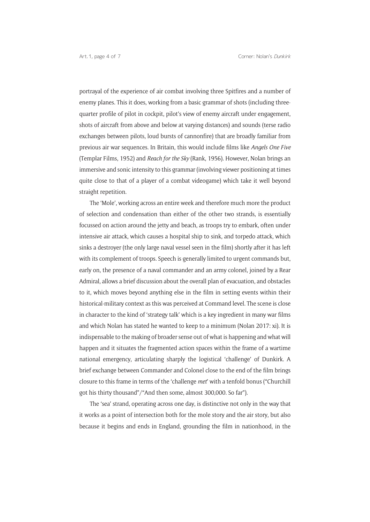portrayal of the experience of air combat involving three Spitfires and a number of enemy planes. This it does, working from a basic grammar of shots (including threequarter profile of pilot in cockpit, pilot's view of enemy aircraft under engagement, shots of aircraft from above and below at varying distances) and sounds (terse radio exchanges between pilots, loud bursts of cannonfire) that are broadly familiar from previous air war sequences. In Britain, this would include films like *Angels One Five* (Templar Films, 1952) and *Reach for the Sky* (Rank, 1956). However, Nolan brings an immersive and sonic intensity to this grammar (involving viewer positioning at times quite close to that of a player of a combat videogame) which take it well beyond straight repetition.

The 'Mole', working across an entire week and therefore much more the product of selection and condensation than either of the other two strands, is essentially focussed on action around the jetty and beach, as troops try to embark, often under intensive air attack, which causes a hospital ship to sink, and torpedo attack, which sinks a destroyer (the only large naval vessel seen in the film) shortly after it has left with its complement of troops. Speech is generally limited to urgent commands but, early on, the presence of a naval commander and an army colonel, joined by a Rear Admiral, allows a brief discussion about the overall plan of evacuation, and obstacles to it, which moves beyond anything else in the film in setting events within their historical-military context as this was perceived at Command level. The scene is close in character to the kind of 'strategy talk' which is a key ingredient in many war films and which Nolan has stated he wanted to keep to a minimum (Nolan 2017: xi). It is indispensable to the making of broader sense out of what is happening and what will happen and it situates the fragmented action spaces within the frame of a wartime national emergency, articulating sharply the logistical 'challenge' of Dunkirk. A brief exchange between Commander and Colonel close to the end of the film brings closure to this frame in terms of the 'challenge *met*' with a tenfold bonus ("Churchill got his thirty thousand"/"And then some, almost 300,000. So far").

The 'sea' strand, operating across one day, is distinctive not only in the way that it works as a point of intersection both for the mole story and the air story, but also because it begins and ends in England, grounding the film in nationhood, in the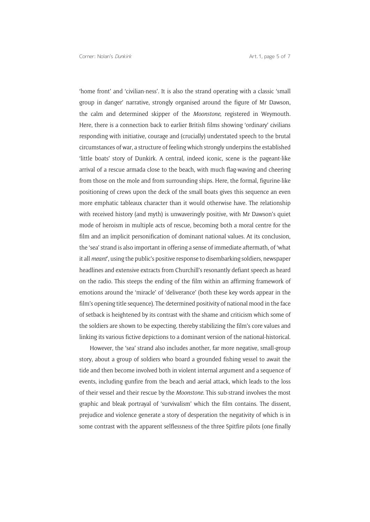'home front' and 'civilian-ness'. It is also the strand operating with a classic 'small group in danger' narrative, strongly organised around the figure of Mr Dawson, the calm and determined skipper of the *Moonstone*, registered in Weymouth. Here, there is a connection back to earlier British films showing 'ordinary' civilians responding with initiative, courage and (crucially) understated speech to the brutal circumstances of war, a structure of feeling which strongly underpins the established 'little boats' story of Dunkirk. A central, indeed iconic, scene is the pageant-like arrival of a rescue armada close to the beach, with much flag-waving and cheering from those on the mole and from surrounding ships. Here, the formal, figurine-like positioning of crews upon the deck of the small boats gives this sequence an even more emphatic tableaux character than it would otherwise have. The relationship with received history (and myth) is unwaveringly positive, with Mr Dawson's quiet mode of heroism in multiple acts of rescue, becoming both a moral centre for the film and an implicit personification of dominant national values. At its conclusion, the 'sea' strand is also important in offering a sense of immediate aftermath, of 'what it all *meant*', using the public's positive response to disembarking soldiers, newspaper headlines and extensive extracts from Churchill's resonantly defiant speech as heard on the radio. This steeps the ending of the film within an affirming framework of emotions around the 'miracle' of 'deliverance' (both these key words appear in the film's opening title sequence). The determined positivity of national mood in the face of setback is heightened by its contrast with the shame and criticism which some of the soldiers are shown to be expecting, thereby stabilizing the film's core values and linking its various fictive depictions to a dominant version of the national-historical.

However, the 'sea' strand also includes another, far more negative, small-group story, about a group of soldiers who board a grounded fishing vessel to await the tide and then become involved both in violent internal argument and a sequence of events, including gunfire from the beach and aerial attack, which leads to the loss of their vessel and their rescue by the *Moonstone.* This sub-strand involves the most graphic and bleak portrayal of 'survivalism' which the film contains. The dissent, prejudice and violence generate a story of desperation the negativity of which is in some contrast with the apparent selflessness of the three Spitfire pilots (one finally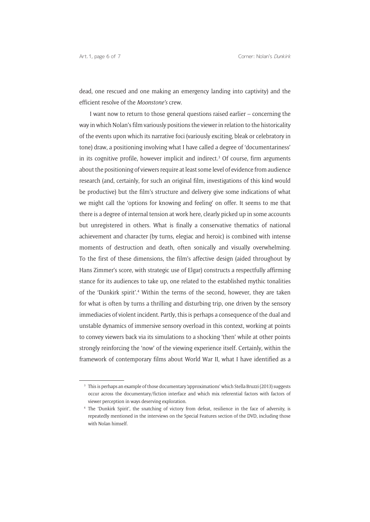dead, one rescued and one making an emergency landing into captivity) and the efficient resolve of the *Moonstone's* crew.

I want now to return to those general questions raised earlier – concerning the way in which Nolan's film variously positions the viewer in relation to the historicality of the events upon which its narrative foci (variously exciting, bleak or celebratory in tone) draw, a positioning involving what I have called a degree of 'documentariness' in its cognitive profile, however implicit and indirect.<sup>3</sup> Of course, firm arguments about the positioning of viewers require at least some level of evidence from audience research (and, certainly, for such an original film, investigations of this kind would be productive) but the film's structure and delivery give some indications of what we might call the 'options for knowing and feeling' on offer. It seems to me that there is a degree of internal tension at work here, clearly picked up in some accounts but unregistered in others. What is finally a conservative thematics of national achievement and character (by turns, elegiac and heroic) is combined with intense moments of destruction and death, often sonically and visually overwhelming. To the first of these dimensions, the film's affective design (aided throughout by Hans Zimmer's score, with strategic use of Elgar) constructs a respectfully affirming stance for its audiences to take up, one related to the established mythic tonalities of the 'Dunkirk spirit'.4 Within the terms of the second, however, they are taken for what is often by turns a thrilling and disturbing trip, one driven by the sensory immediacies of violent incident. Partly, this is perhaps a consequence of the dual and unstable dynamics of immersive sensory overload in this context, working at points to convey viewers back via its simulations to a shocking 'then' while at other points strongly reinforcing the 'now' of the viewing experience itself. Certainly, within the framework of contemporary films about World War II, what I have identified as a

<sup>3</sup> This is perhaps an example of those documentary 'approximations' which Stella Bruzzi (2013) suggests occur across the documentary/fiction interface and which mix referential factors with factors of viewer perception in ways deserving exploration.

<sup>4</sup> The 'Dunkirk Spirit', the snatching of victory from defeat, resilience in the face of adversity, is repeatedly mentioned in the interviews on the Special Features section of the DVD, including those with Nolan himself.